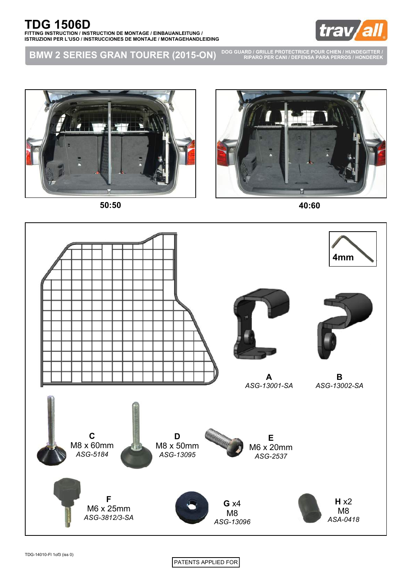

**BMW 2 SERIES GRAN TOURER (2015-ON) DOG GUARD / GRILLE PROTECTRICE POUR CHIEN / HUNDEGITTER / RIPARO PER CANI / DEFENSA PARA PERROS / HONDEREK**





**50:50 40:60**



PATENTS APPLIED FOR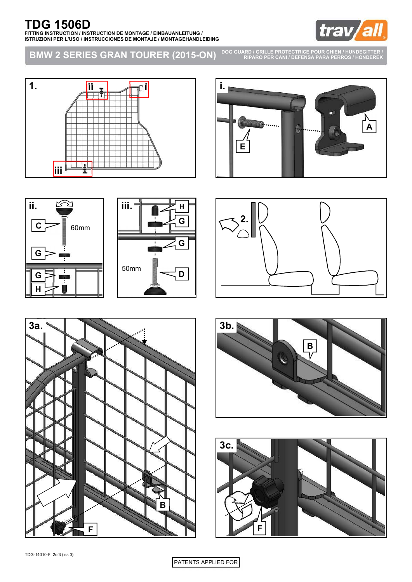

**BMW 2 SERIES GRAN TOURER (2015-ON)**

**DOG GUARD / GRILLE PROTECTRICE POUR CHIEN / HUNDEGITTER / RIPARO PER CANI / DEFENSA PARA PERROS / HONDEREK**